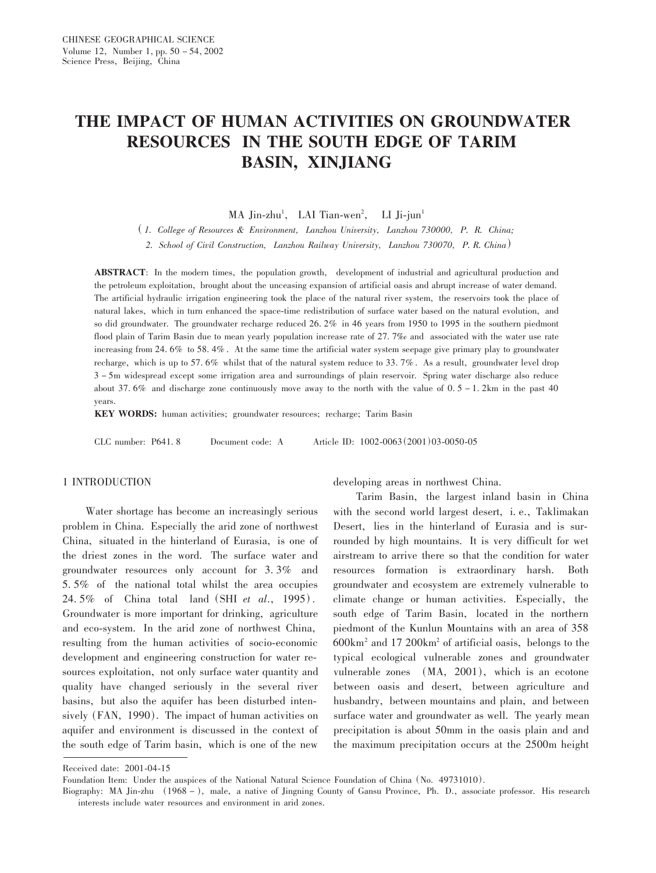# THE IMPACT OF HUMAN ACTIVITIES ON GROUNDWATER **RESOURCES IN THE SOUTH EDGE OF TARIM BASIN, XINJIANG**

MA Jin-zhu<sup>1</sup>, LAI Tian-wen<sup>2</sup>, LI Ji-jun<sup>1</sup>

(1. College of Resources & Environment, Lanzhou University, Lanzhou 730000, P. R. China;

2. School of Civil Construction, Lanzhou Railway University, Lanzhou 730070, P. R. China)

**ABSTRACT:** In the modern times, the population growth, development of industrial and agricultural production and the petroleum exploitation, brought about the unceasing expansion of artificial oasis and abrupt increase of water demand. The artificial hydraulic irrigation engineering took the place of the natural river system, the reservoirs took the place of natural lakes, which in turn enhanced the space-time redistribution of surface water based on the natural evolution, and so did groundwater. The groundwater recharge reduced 26.2% in 46 years from 1950 to 1995 in the southern piedmont flood plain of Tarim Basin due to mean yearly population increase rate of  $27.7\%$  and associated with the water use rate increasing from 24.6% to 58.4%. At the same time the artificial water system seepage give primary play to groundwater recharge, which is up to 57.6% whilst that of the natural system reduce to 33.7%. As a result, groundwater level drop 3-5m widespread except some irrigation area and surroundings of plain reservoir. Spring water discharge also reduce about 37.6% and discharge zone continuously move away to the north with the value of  $0.5 - 1.2$ km in the past 40 years.

KEY WORDS: human activities; groundwater resources; recharge; Tarim Basin

CLC number: P641.8 Article ID: 1002-0063 (2001) 03-0050-05 Document code: A

#### 1 INTRODUCTION

Water shortage has become an increasingly serious problem in China. Especially the arid zone of northwest China, situated in the hinterland of Eurasia, is one of the driest zones in the word. The surface water and groundwater resources only account for  $3.3\%$  and 5.5% of the national total whilst the area occupies 24.5% of China total land (SHI et al., 1995). Groundwater is more important for drinking, agriculture and eco-system. In the arid zone of northwest China, resulting from the human activities of socio-economic development and engineering construction for water resources exploitation, not only surface water quantity and quality have changed seriously in the several river basins, but also the aquifer has been disturbed intensively (FAN, 1990). The impact of human activities on aquifer and environment is discussed in the context of the south edge of Tarim basin, which is one of the new

developing areas in northwest China.

Tarim Basin, the largest inland basin in China with the second world largest desert, i.e., Taklimakan Desert, lies in the hinterland of Eurasia and is surrounded by high mountains. It is very difficult for wet airstream to arrive there so that the condition for water resources formation is extraordinary harsh. **Both** groundwater and ecosystem are extremely vulnerable to climate change or human activities. Especially, the south edge of Tarim Basin, located in the northern piedmont of the Kunlun Mountains with an area of 358  $600 \text{km}^2$  and 17 200 km<sup>2</sup> of artificial oasis, belongs to the typical ecological vulnerable zones and groundwater vulnerable zones (MA, 2001), which is an ecotone between oasis and desert, between agriculture and husbandry, between mountains and plain, and between surface water and groundwater as well. The yearly mean precipitation is about 50mm in the oasis plain and and the maximum precipitation occurs at the 2500m height

Received date: 2001-04-15

Foundation Item: Under the auspices of the National Natural Science Foundation of China (No. 49731010).

Biography: MA Jin-zhu (1968 –), male, a native of Jingning County of Gansu Province, Ph. D., associate professor. His research interests include water resources and environment in arid zones.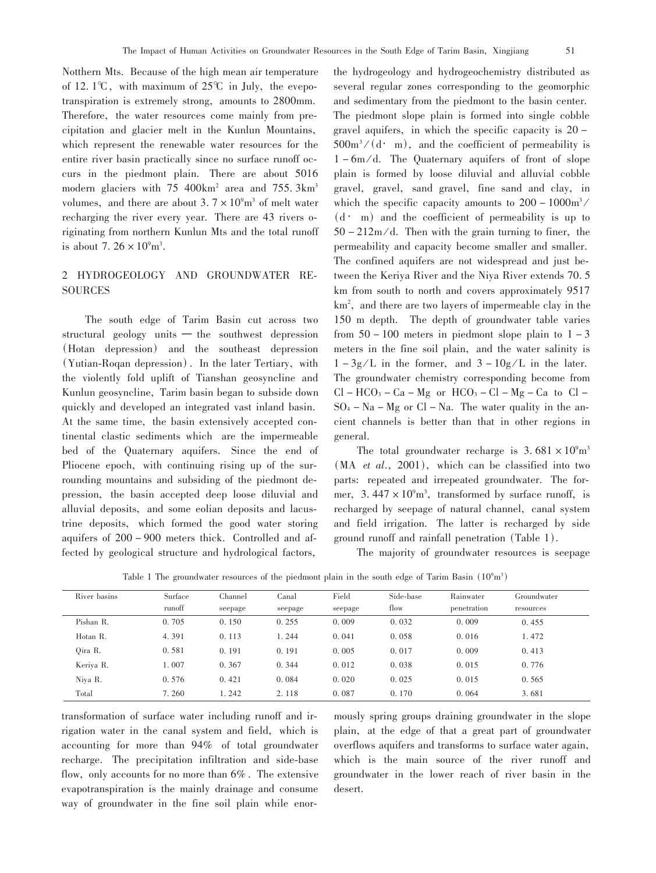Notthern Mts. Because of the high mean air temperature of 12.1°C, with maximum of  $25^{\circ}$ C in July, the evepotranspiration is extremely strong, amounts to 2800mm. Therefore, the water resources come mainly from precipitation and glacier melt in the Kunlun Mountains, which represent the renewable water resources for the entire river basin practically since no surface runoff occurs in the piedmont plain. There are about 5016 modern glaciers with 75 400km<sup>2</sup> area and 755. 3km<sup>3</sup> volumes, and there are about  $3.7 \times 10^9$ m<sup>3</sup> of melt water recharging the river every year. There are 43 rivers originating from northern Kunlun Mts and the total runoff is about 7.  $26 \times 10^9$  m<sup>3</sup>.

## 2 HYDROGEOLOGY AND GROUNDWATER RE-**SOURCES**

The south edge of Tarim Basin cut across two structural geology units  $-$  the southwest depression (Hotan depression) and the southeast depression (Yutian-Rogan depression). In the later Tertiary, with the violently fold uplift of Tianshan geosyncline and Kunlun geosyncline. Tarim basin began to subside down quickly and developed an integrated vast inland basin. At the same time, the basin extensively accepted continental clastic sediments which are the impermeable bed of the Quaternary aquifers. Since the end of Pliocene epoch, with continuing rising up of the surrounding mountains and subsiding of the piedmont depression, the basin accepted deep loose diluvial and alluvial deposits, and some eolian deposits and lacustrine deposits, which formed the good water storing aquifers of 200 – 900 meters thick. Controlled and affected by geological structure and hydrological factors,

the hydrogeology and hydrogeochemistry distributed as several regular zones corresponding to the geomorphic and sedimentary from the piedmont to the basin center. The piedmont slope plain is formed into single cobble gravel aquifers, in which the specific capacity is  $20 500m^3/(d \cdot m)$ , and the coefficient of permeability is  $1 - 6m/d$ . The Quaternary aquifers of front of slope plain is formed by loose diluvial and alluvial cobble gravel, gravel, sand gravel, fine sand and clay, in which the specific capacity amounts to  $200 - 1000 \text{m}^3$  $(d \cdot m)$  and the coefficient of permeability is up to  $50 - 212$  m/d. Then with the grain turning to finer, the permeability and capacity become smaller and smaller. The confined aquifers are not widespread and just between the Keriya River and the Niya River extends 70.5 km from south to north and covers approximately 9517 km<sup>2</sup>, and there are two layers of impermeable clay in the 150 m depth. The depth of groundwater table varies from  $50 - 100$  meters in piedmont slope plain to  $1 - 3$ meters in the fine soil plain, and the water salinity is  $1-3g/L$  in the former, and  $3-10g/L$  in the later. The groundwater chemistry corresponding become from  $Cl - HCO_3 - Ca - Mg$  or  $HCO_3 - Cl - Mg - Ca$  to  $Cl SO_4 - Na - Mg$  or  $Cl - Na$ . The water quality in the ancient channels is better than that in other regions in general.

The total groundwater recharge is  $3.681 \times 10^{9}$ m<sup>3</sup>  $(MA$  *et al.*, 2001), which can be classified into two parts: repeated and irrepeated groundwater. The former,  $3.447 \times 10^{9}$  m<sup>3</sup>, transformed by surface runoff, is recharged by seepage of natural channel, canal system and field irrigation. The latter is recharged by side ground runoff and rainfall penetration (Table 1).

The majority of groundwater resources is seepage

Table 1 The groundwater resources of the piedmont plain in the south edge of Tarim Basin  $(10^9 \text{m}^3)$ 

| River basins | Surface | Channel | Canal   | Field   | Side-base | Rainwater   | Groundwater |
|--------------|---------|---------|---------|---------|-----------|-------------|-------------|
|              | runoff  | seepage | seepage | seepage | flow      | penetration | resources   |
| Pishan R.    | 0.705   | 0.150   | 0.255   | 0.009   | 0.032     | 0.009       | 0.455       |
| Hotan R.     | 4.391   | 0.113   | 1.244   | 0.041   | 0.058     | 0.016       | 1.472       |
| Oira R.      | 0.581   | 0.191   | 0.191   | 0.005   | 0.017     | 0.009       | 0.413       |
| Keriya R.    | 1.007   | 0.367   | 0.344   | 0.012   | 0.038     | 0.015       | 0.776       |
| Niva R.      | 0.576   | 0.421   | 0.084   | 0.020   | 0.025     | 0.015       | 0.565       |
| Total        | 7.260   | .242    | 2.118   | 0.087   | 0.170     | 0.064       | 3.681       |

transformation of surface water including runoff and irrigation water in the canal system and field, which is accounting for more than 94% of total groundwater recharge. The precipitation infiltration and side-base flow, only accounts for no more than  $6\%$ . The extensive evapotranspiration is the mainly drainage and consume way of groundwater in the fine soil plain while enor-

mously spring groups draining groundwater in the slope plain, at the edge of that a great part of groundwater overflows aquifers and transforms to surface water again, which is the main source of the river runoff and groundwater in the lower reach of river basin in the desert.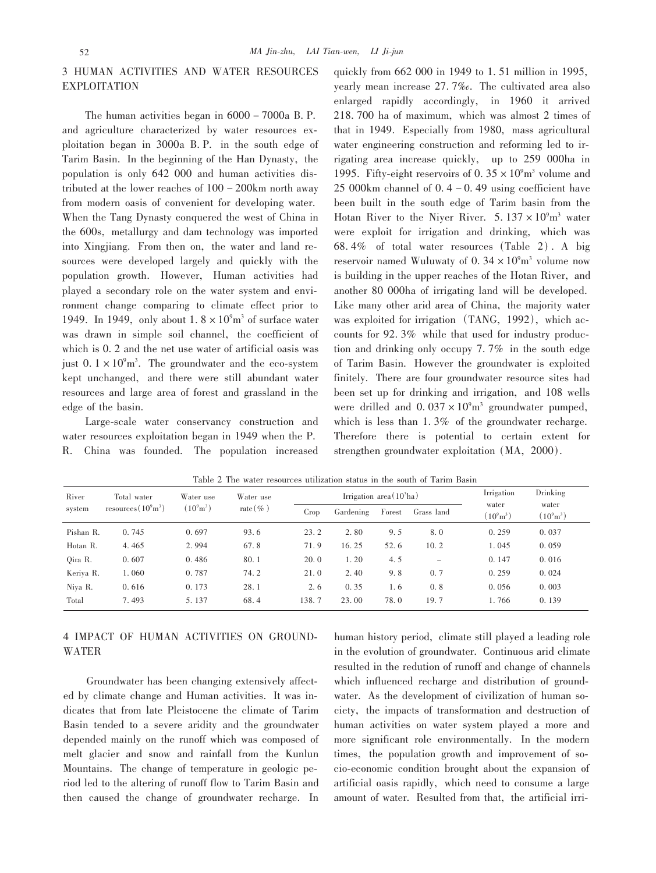### 3 HUMAN ACTIVITIES AND WATER RESOURCES **EXPLOITATION**

The human activities began in 6000 - 7000a B.P. and agriculture characterized by water resources exploitation began in 3000a B.P. in the south edge of Tarim Basin. In the beginning of the Han Dynasty, the population is only 642 000 and human activities distributed at the lower reaches of  $100 - 200$  km north away from modern oasis of convenient for developing water. When the Tang Dynasty conquered the west of China in the 600s, metallurgy and dam technology was imported into Xingjiang. From then on, the water and land resources were developed largely and quickly with the population growth. However, Human activities had played a secondary role on the water system and environment change comparing to climate effect prior to 1949. In 1949, only about  $1.8 \times 10^9$  m<sup>3</sup> of surface water was drawn in simple soil channel, the coefficient of which is 0. 2 and the net use water of artificial oasis was just  $0.1 \times 10^9$ <sup>m<sup>3</sup>. The groundwater and the eco-system</sup> kept unchanged, and there were still abundant water resources and large area of forest and grassland in the edge of the basin.

Large-scale water conservancy construction and water resources exploitation began in 1949 when the P.  $R_{\perp}$ China was founded. The population increased

quickly from 662 000 in 1949 to 1.51 million in 1995, yearly mean increase 27.7‰. The cultivated area also enlarged rapidly accordingly, in 1960 it arrived 218.700 ha of maximum, which was almost 2 times of that in 1949. Especially from 1980, mass agricultural water engineering construction and reforming led to irrigating area increase quickly, up to 259 000ha in 1995. Fifty-eight reservoirs of 0.35  $\times$  10<sup>9</sup>m<sup>3</sup> volume and 25 000km channel of  $0.4 - 0.49$  using coefficient have been built in the south edge of Tarim basin from the Hotan River to the Niyer River.  $5.137 \times 10^{9}$ m<sup>3</sup> water were exploit for irrigation and drinking, which was 68.4% of total water resources (Table 2). A big reservoir named Wuluwaty of  $0.34 \times 10^9$ m<sup>3</sup> volume now is building in the upper reaches of the Hotan River, and another 80 000ha of irrigating land will be developed. Like many other arid area of China, the majority water was exploited for irrigation (TANG, 1992), which accounts for 92.3% while that used for industry production and drinking only occupy 7.7% in the south edge of Tarim Basin. However the groundwater is exploited finitely. There are four groundwater resource sites had been set up for drinking and irrigation, and 108 wells were drilled and  $0.037 \times 10^{9}$  groundwater pumped, which is less than  $1.3\%$  of the groundwater recharge. Therefore there is potential to certain extent for strengthen groundwater exploitation (MA, 2000).

| River     | Total water<br>resources $(10^9 \text{m}^3)$ | Water use<br>$(10^9 \text{m}^3)$ | Water use<br>rate $(\%$ ) | Irrigation area $(10^3$ ha) |           |        |                          | Irrigation                   | Drinking                     |
|-----------|----------------------------------------------|----------------------------------|---------------------------|-----------------------------|-----------|--------|--------------------------|------------------------------|------------------------------|
| system    |                                              |                                  |                           | Crop                        | Gardening | Forest | Grass land               | water<br>$(10^9 \text{m}^3)$ | water<br>$(10^9 \text{m}^3)$ |
| Pishan R. | 0.745                                        | 0.697                            | 93.6                      | 23.2                        | 2.80      | 9.5    | 8.0                      | 0.259                        | 0.037                        |
| Hotan R.  | 4.465                                        | 2.994                            | 67.8                      | 71.9                        | 16.25     | 52.6   | 10.2                     | 1.045                        | 0.059                        |
| Oira R.   | 0.607                                        | 0.486                            | 80.1                      | 20.0                        | 1.20      | 4.5    | $\overline{\phantom{0}}$ | 0.147                        | 0.016                        |
| Keriya R. | 1.060                                        | 0.787                            | 74.2                      | 21.0                        | 2.40      | 9.8    | 0.7                      | 0.259                        | 0.024                        |
| Niva R.   | 0.616                                        | 0.173                            | 28.1                      | 2.6                         | 0.35      | 1.6    | 0.8                      | 0.056                        | 0.003                        |
| Total     | 7.493                                        | 5.137                            | 68.4                      | 138.7                       | 23.00     | 78.0   | 19.7                     | 1.766                        | 0.139                        |

Table 2 The water resources utilization status in the south of Tarim Basin

## 4 IMPACT OF HUMAN ACTIVITIES ON GROUND-**WATER**

Groundwater has been changing extensively affected by climate change and Human activities. It was indicates that from late Pleistocene the climate of Tarim Basin tended to a severe aridity and the groundwater depended mainly on the runoff which was composed of melt glacier and snow and rainfall from the Kunlun Mountains. The change of temperature in geologic period led to the altering of runoff flow to Tarim Basin and then caused the change of groundwater recharge. In human history period, climate still played a leading role in the evolution of groundwater. Continuous arid climate resulted in the redution of runoff and change of channels which influenced recharge and distribution of groundwater. As the development of civilization of human society, the impacts of transformation and destruction of human activities on water system played a more and more significant role environmentally. In the modern times, the population growth and improvement of socio-economic condition brought about the expansion of artificial oasis rapidly, which need to consume a large amount of water. Resulted from that, the artificial irri-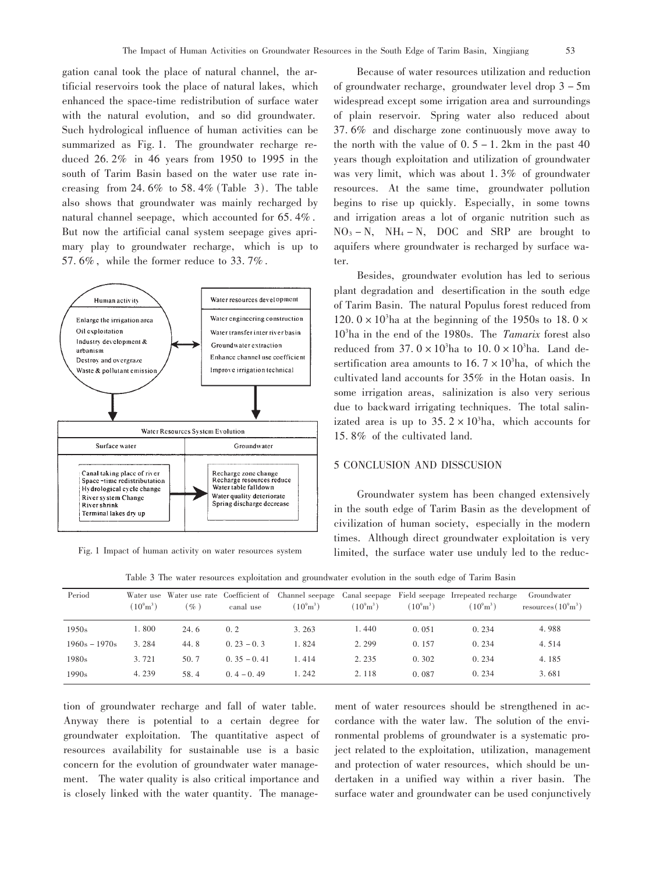gation canal took the place of natural channel, the artificial reservoirs took the place of natural lakes, which enhanced the space-time redistribution of surface water with the natural evolution, and so did groundwater. Such hydrological influence of human activities can be summarized as Fig. 1. The groundwater recharge reduced  $26.2\%$  in 46 years from 1950 to 1995 in the south of Tarim Basin based on the water use rate increasing from 24.6% to 58.4% (Table 3). The table also shows that groundwater was mainly recharged by natural channel seepage, which accounted for 65.4%. But now the artificial canal system seepage gives aprimary play to groundwater recharge, which is up to 57.6%, while the former reduce to 33.7%.



Fig. 1 Impact of human activity on water resources system

Because of water resources utilization and reduction of groundwater recharge, groundwater level drop 3 - 5m widespread except some irrigation area and surroundings of plain reservoir. Spring water also reduced about 37.6% and discharge zone continuously move away to the north with the value of  $0.5 - 1.2$ km in the past 40 years though exploitation and utilization of groundwater was very limit, which was about 1.3% of groundwater resources. At the same time, groundwater pollution begins to rise up quickly. Especially, in some towns and irrigation areas a lot of organic nutrition such as  $NO_3 - N$ ,  $NH_4 - N$ , DOC and SRP are brought to aquifers where groundwater is recharged by surface water.

Besides, groundwater evolution has led to serious plant degradation and desertification in the south edge of Tarim Basin. The natural Populus forest reduced from 120.  $0 \times 10^3$ ha at the beginning of the 1950s to 18.  $0 \times$  $10<sup>3</sup>$ ha in the end of the 1980s. The Tamarix forest also reduced from  $37.0 \times 10^3$  ha to  $10.0 \times 10^3$  ha. Land desertification area amounts to  $16.7 \times 10^3$ ha, of which the cultivated land accounts for 35% in the Hotan oasis. In some irrigation areas, salinization is also very serious due to backward irrigating techniques. The total salinizated area is up to  $35.2 \times 10^3$  ha, which accounts for 15.8% of the cultivated land.

#### **5 CONCLUSION AND DISSCUSION**

Groundwater system has been changed extensively in the south edge of Tarim Basin as the development of civilization of human society, especially in the modern times. Although direct groundwater exploitation is very limited, the surface water use unduly led to the reduc-

Table 3 The water resources exploitation and groundwater evolution in the south edge of Tarim Basin

| Period            | $(10^9 \text{m}^3)$ | $\%$ ) | canal use      | $(10^9 \text{m}^3)$ | $(10^9 \text{m}^3)$ | $(10^9 \text{m}^3)$ | Water use Water use rate Coefficient of Channel seepage Canal seepage Field seepage Irrepeated recharge<br>$(10^9 \text{m}^3)$ | Groundwater<br>resources $(10^9 \text{m}^3)$ |
|-------------------|---------------------|--------|----------------|---------------------|---------------------|---------------------|--------------------------------------------------------------------------------------------------------------------------------|----------------------------------------------|
| 1950s             | 1.800               | 24.6   | 0.2            | 3.263               | 1.440               | 0.051               | 0.234                                                                                                                          | 4.988                                        |
| $1960s - 1970s$   | 3.284               | 44.8   | $0.23 - 0.3$   | 1.824               | 2.299               | 0.157               | 0.234                                                                                                                          | 4.514                                        |
| 1980 <sub>s</sub> | 3.721               | 50.7   | $0.35 - 0.41$  | 1.414               | 2.235               | 0.302               | 0.234                                                                                                                          | 4.185                                        |
| 1990s             | 4.239               | 58.4   | $0, 4 - 0, 49$ | 1.242               | 2.118               | 0.087               | 0.234                                                                                                                          | 3.681                                        |

tion of groundwater recharge and fall of water table. Anyway there is potential to a certain degree for groundwater exploitation. The quantitative aspect of resources availability for sustainable use is a basic concern for the evolution of groundwater water management. The water quality is also critical importance and is closely linked with the water quantity. The management of water resources should be strengthened in accordance with the water law. The solution of the environmental problems of groundwater is a systematic project related to the exploitation, utilization, management and protection of water resources, which should be undertaken in a unified way within a river basin. The surface water and groundwater can be used conjunctively